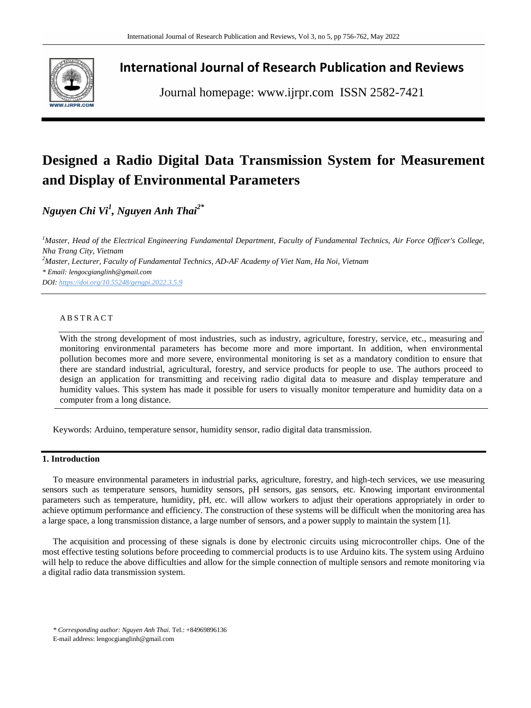

# **International Journal of Research Publication and Reviews**

Journal homepage: www.ijrpr.com ISSN 2582-7421

# **Designed a Radio Digital Data Transmission System for Measurement and Display of Environmental Parameters**

*Nguyen Chi Vi<sup>1</sup> , Nguyen Anh Thai2\**

*<sup>1</sup>Master, Head of the Electrical Engineering Fundamental Department, Faculty of Fundamental Technics, Air Force Officer's College, Nha Trang City, Vietnam <sup>2</sup>Master, Lecturer, Faculty of Fundamental Technics, AD-AF Academy of Viet Nam, Ha Noi, Vietnam \* Email[: lengocgianglinh@gmail.com](mailto:lengocgianglinh@gmail.com) DOI: <https://doi.org/10.55248/gengpi.2022.3.5.9>*

#### A B S T R A C T

With the strong development of most industries, such as industry, agriculture, forestry, service, etc., measuring and monitoring environmental parameters has become more and more important. In addition, when environmental pollution becomes more and more severe, environmental monitoring is set as a mandatory condition to ensure that there are standard industrial, agricultural, forestry, and service products for people to use. The authors proceed to design an application for transmitting and receiving radio digital data to measure and display temperature and humidity values. This system has made it possible for users to visually monitor temperature and humidity data on a computer from a long distance.

Keywords: Arduino, temperature sensor, humidity sensor, radio digital data transmission.

# **1. Introduction**

To measure environmental parameters in industrial parks, agriculture, forestry, and high-tech services, we use measuring sensors such as temperature sensors, humidity sensors, pH sensors, gas sensors, etc. Knowing important environmental parameters such as temperature, humidity, pH, etc. will allow workers to adjust their operations appropriately in order to achieve optimum performance and efficiency. The construction of these systems will be difficult when the monitoring area has a large space, a long transmission distance, a large number of sensors, and a power supply to maintain the system [1].

The acquisition and processing of these signals is done by electronic circuits using microcontroller chips. One of the most effective testing solutions before proceeding to commercial products is to use Arduino kits. The system using Arduino will help to reduce the above difficulties and allow for the simple connection of multiple sensors and remote monitoring via a digital radio data transmission system.

*\* Corresponding author: Nguyen Anh Thai*. Tel.: +84969896136

E-mail address: lengocgianglinh@gmail.com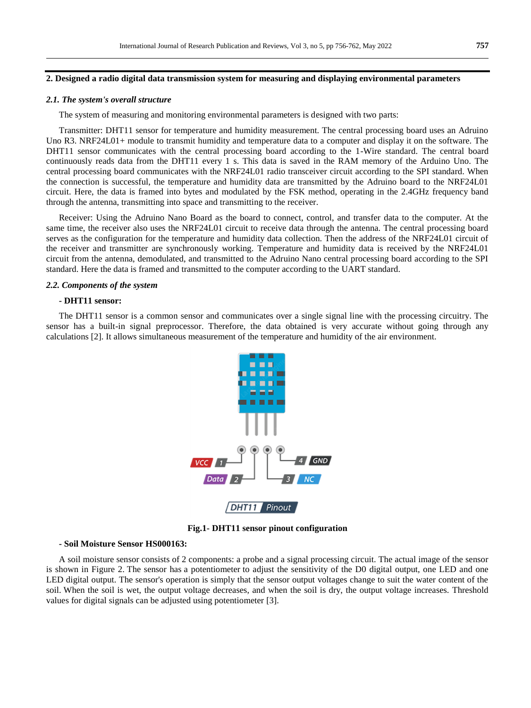#### **2. Designed a radio digital data transmission system for measuring and displaying environmental parameters**

#### *2.1. The system's overall structure*

The system of measuring and monitoring environmental parameters is designed with two parts:

Transmitter: DHT11 sensor for temperature and humidity measurement. The central processing board uses an Adruino Uno R3. NRF24L01+ module to transmit humidity and temperature data to a computer and display it on the software. The DHT11 sensor communicates with the central processing board according to the 1-Wire standard. The central board continuously reads data from the DHT11 every 1 s. This data is saved in the RAM memory of the Arduino Uno. The central processing board communicates with the NRF24L01 radio transceiver circuit according to the SPI standard. When the connection is successful, the temperature and humidity data are transmitted by the Adruino board to the NRF24L01 circuit. Here, the data is framed into bytes and modulated by the FSK method, operating in the 2.4GHz frequency band through the antenna, transmitting into space and transmitting to the receiver.

Receiver: Using the Adruino Nano Board as the board to connect, control, and transfer data to the computer. At the same time, the receiver also uses the NRF24L01 circuit to receive data through the antenna. The central processing board serves as the configuration for the temperature and humidity data collection. Then the address of the NRF24L01 circuit of the receiver and transmitter are synchronously working. Temperature and humidity data is received by the NRF24L01 circuit from the antenna, demodulated, and transmitted to the Adruino Nano central processing board according to the SPI standard. Here the data is framed and transmitted to the computer according to the UART standard.

#### *2.2. Components of the system*

## **- DHT11 sensor:**

The DHT11 sensor is a common sensor and communicates over a single signal line with the processing circuitry. The sensor has a built-in signal preprocessor. Therefore, the data obtained is very accurate without going through any calculations [2]. It allows simultaneous measurement of the temperature and humidity of the air environment.



**Fig.1- DHT11 sensor pinout configuration**

#### **- Soil Moisture Sensor HS000163:**

A soil moisture sensor consists of 2 components: a probe and a signal processing circuit. The actual image of the sensor is shown in Figure 2. The sensor has a potentiometer to adjust the sensitivity of the D0 digital output, one LED and one LED digital output. The sensor's operation is simply that the sensor output voltages change to suit the water content of the soil. When the soil is wet, the output voltage decreases, and when the soil is dry, the output voltage increases. Threshold values for digital signals can be adjusted using potentiometer [3].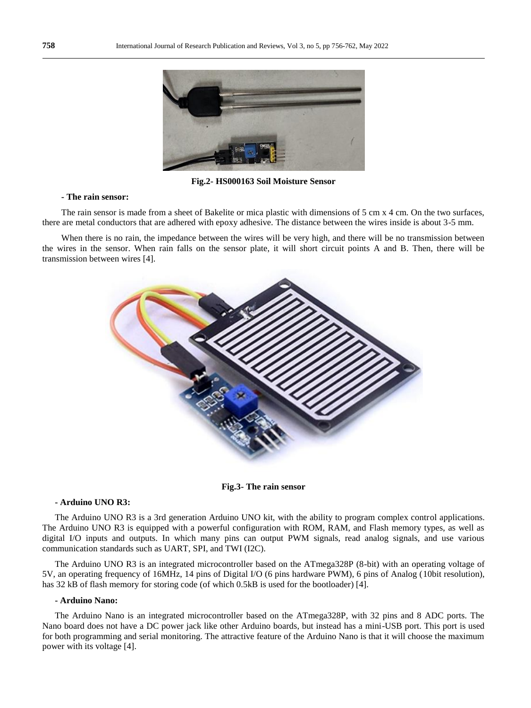

**Fig.2- HS000163 Soil Moisture Sensor**

#### **- The rain sensor:**

The rain sensor is made from a sheet of Bakelite or mica plastic with dimensions of 5 cm x 4 cm. On the two surfaces, there are metal conductors that are adhered with epoxy adhesive. The distance between the wires inside is about 3-5 mm.

When there is no rain, the impedance between the wires will be very high, and there will be no transmission between the wires in the sensor. When rain falls on the sensor plate, it will short circuit points A and B. Then, there will be transmission between wires [4].



**Fig.3- The rain sensor**

#### **- Arduino UNO R3:**

The Arduino UNO R3 is a 3rd generation Arduino UNO kit, with the ability to program complex control applications. The Arduino UNO R3 is equipped with a powerful configuration with ROM, RAM, and Flash memory types, as well as digital I/O inputs and outputs. In which many pins can output PWM signals, read analog signals, and use various communication standards such as UART, SPI, and TWI (I2C).

The Arduino UNO R3 is an integrated microcontroller based on the ATmega328P (8-bit) with an operating voltage of 5V, an operating frequency of 16MHz, 14 pins of Digital I/O (6 pins hardware PWM), 6 pins of Analog (10bit resolution), has 32 kB of flash memory for storing code (of which 0.5kB is used for the bootloader) [4].

#### **- Arduino Nano:**

The Arduino Nano is an integrated microcontroller based on the ATmega328P, with 32 pins and 8 ADC ports. The Nano board does not have a DC power jack like other Arduino boards, but instead has a mini-USB port. This port is used for both programming and serial monitoring. The attractive feature of the Arduino Nano is that it will choose the maximum power with its voltage [4].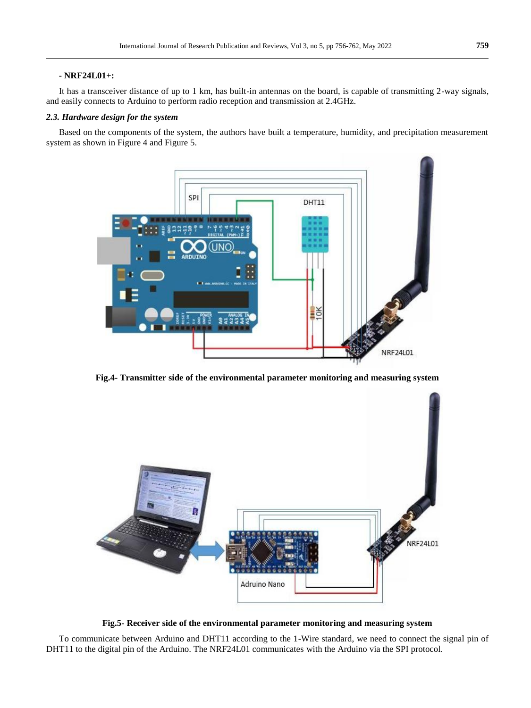#### **- NRF24L01+:**

It has a transceiver distance of up to 1 km, has built-in antennas on the board, is capable of transmitting 2-way signals, and easily connects to Arduino to perform radio reception and transmission at 2.4GHz.

#### *2.3. Hardware design for the system*

Based on the components of the system, the authors have built a temperature, humidity, and precipitation measurement system as shown in Figure 4 and Figure 5.



**Fig.4- Transmitter side of the environmental parameter monitoring and measuring system**



**Fig.5- Receiver side of the environmental parameter monitoring and measuring system**

To communicate between Arduino and DHT11 according to the 1-Wire standard, we need to connect the signal pin of DHT11 to the digital pin of the Arduino. The NRF24L01 communicates with the Arduino via the SPI protocol.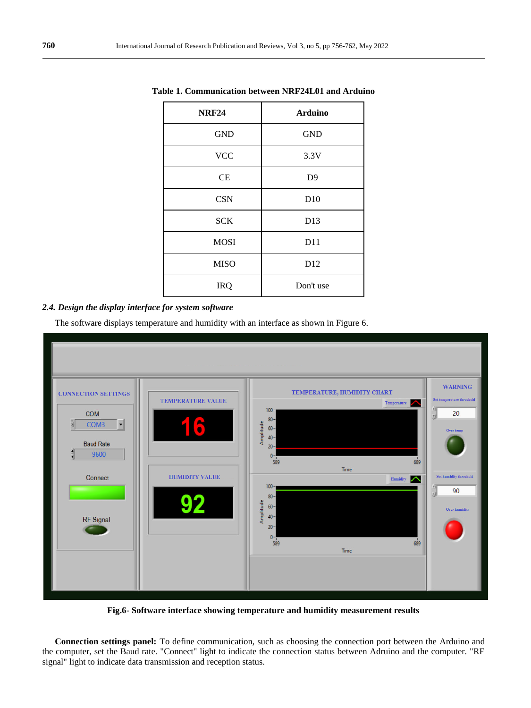| <b>NRF24</b> | <b>Arduino</b> |
|--------------|----------------|
| <b>GND</b>   | <b>GND</b>     |
| <b>VCC</b>   | 3.3V           |
| CE           | D <sub>9</sub> |
| <b>CSN</b>   | D10            |
| <b>SCK</b>   | D13            |
| <b>MOSI</b>  | D11            |
| <b>MISO</b>  | D12            |
| <b>IRQ</b>   | Don't use      |

**Table 1. Communication between NRF24L01 and Arduino**

# *2.4. Design the display interface for system software*

The software displays temperature and humidity with an interface as shown in Figure 6.



**Fig.6- Software interface showing temperature and humidity measurement results**

**Connection settings panel:** To define communication, such as choosing the connection port between the Arduino and the computer, set the Baud rate. "Connect" light to indicate the connection status between Adruino and the computer. "RF signal" light to indicate data transmission and reception status.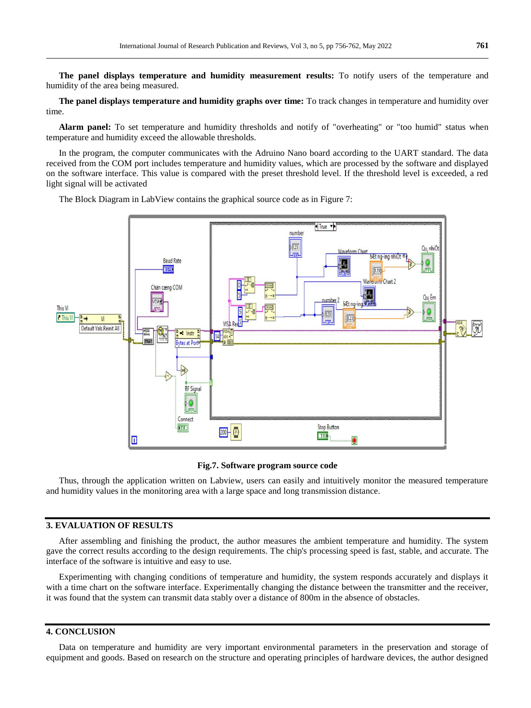**The panel displays temperature and humidity measurement results:** To notify users of the temperature and humidity of the area being measured.

**The panel displays temperature and humidity graphs over time:** To track changes in temperature and humidity over time.

Alarm panel: To set temperature and humidity thresholds and notify of "overheating" or "too humid" status when temperature and humidity exceed the allowable thresholds.

In the program, the computer communicates with the Adruino Nano board according to the UART standard. The data received from the COM port includes temperature and humidity values, which are processed by the software and displayed on the software interface. This value is compared with the preset threshold level. If the threshold level is exceeded, a red light signal will be activated

The Block Diagram in LabView contains the graphical source code as in Figure 7:



#### **Fig.7. Software program source code**

Thus, through the application written on Labview, users can easily and intuitively monitor the measured temperature and humidity values in the monitoring area with a large space and long transmission distance.

## **3. EVALUATION OF RESULTS**

After assembling and finishing the product, the author measures the ambient temperature and humidity. The system gave the correct results according to the design requirements. The chip's processing speed is fast, stable, and accurate. The interface of the software is intuitive and easy to use.

Experimenting with changing conditions of temperature and humidity, the system responds accurately and displays it with a time chart on the software interface. Experimentally changing the distance between the transmitter and the receiver, it was found that the system can transmit data stably over a distance of 800m in the absence of obstacles.

#### **4. CONCLUSION**

Data on temperature and humidity are very important environmental parameters in the preservation and storage of equipment and goods. Based on research on the structure and operating principles of hardware devices, the author designed